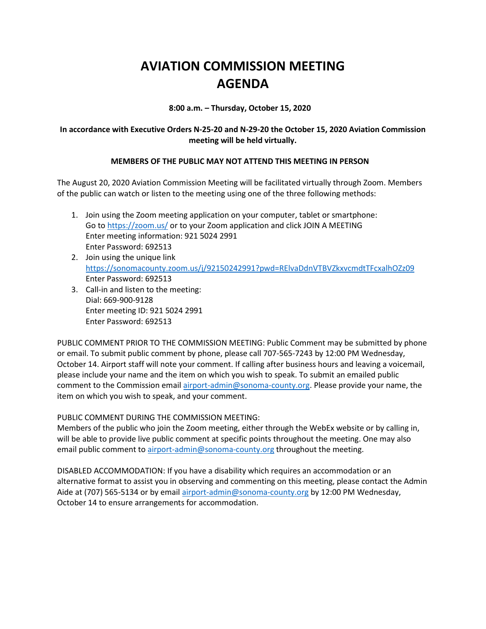## **AVIATION COMMISSION MEETING AGENDA**

**8:00 a.m. – Thursday, October 15, 2020**

## **In accordance with Executive Orders N-25-20 and N-29-20 the October 15, 2020 Aviation Commission meeting will be held virtually.**

## **MEMBERS OF THE PUBLIC MAY NOT ATTEND THIS MEETING IN PERSON**

The August 20, 2020 Aviation Commission Meeting will be facilitated virtually through Zoom. Members of the public can watch or listen to the meeting using one of the three following methods:

- 1. Join using the Zoom meeting application on your computer, tablet or smartphone: Go to https://zoom.us/ or to your Zoom application and click JOIN A MEETING Enter meeting information: 921 5024 2991 Enter Password: 692513
- 2. Join using the unique link https://sonomacounty.zoom.us/j/92150242991?pwd=RElvaDdnVTBVZkxvcmdtTFcxalhOZz09 Enter Password: 692513
- 3. Call-in and listen to the meeting: Dial: 669-900-9128 Enter meeting ID: 921 5024 2991 Enter Password: 692513

PUBLIC COMMENT PRIOR TO THE COMMISSION MEETING: Public Comment may be submitted by phone or email. To submit public comment by phone, please call 707-565-7243 by 12:00 PM Wednesday, October 14. Airport staff will note your comment. If calling after business hours and leaving a voicemail, please include your name and the item on which you wish to speak. To submit an emailed public comment to the Commission email airport-admin@sonoma-county.org. Please provide your name, the item on which you wish to speak, and your comment.

PUBLIC COMMENT DURING THE COMMISSION MEETING:

Members of the public who join the Zoom meeting, either through the WebEx website or by calling in, will be able to provide live public comment at specific points throughout the meeting. One may also email public comment to airport-admin@sonoma-county.org throughout the meeting.

DISABLED ACCOMMODATION: If you have a disability which requires an accommodation or an alternative format to assist you in observing and commenting on this meeting, please contact the Admin Aide at (707) 565-5134 or by email airport-admin@sonoma-county.org by 12:00 PM Wednesday, October 14 to ensure arrangements for accommodation.